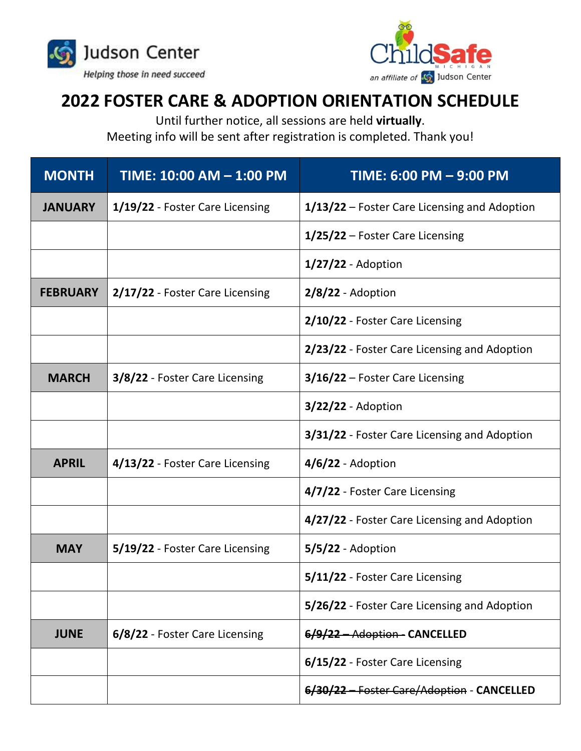



## **2022 FOSTER CARE & ADOPTION ORIENTATION SCHEDULE**

Until further notice, all sessions are held **virtually**.

Meeting info will be sent after registration is completed. Thank you!

| <b>MONTH</b>    | <u>TIME: 10:00 AM - 1:00 PM</u> | TIME: 6:00 PM - 9:00 PM                      |
|-----------------|---------------------------------|----------------------------------------------|
| <b>JANUARY</b>  | 1/19/22 - Foster Care Licensing | 1/13/22 – Foster Care Licensing and Adoption |
|                 |                                 | 1/25/22 – Foster Care Licensing              |
|                 |                                 | $1/27/22$ - Adoption                         |
| <b>FEBRUARY</b> | 2/17/22 - Foster Care Licensing | $2/8/22$ - Adoption                          |
|                 |                                 | 2/10/22 - Foster Care Licensing              |
|                 |                                 | 2/23/22 - Foster Care Licensing and Adoption |
| <b>MARCH</b>    | 3/8/22 - Foster Care Licensing  | 3/16/22 - Foster Care Licensing              |
|                 |                                 | $3/22/22$ - Adoption                         |
|                 |                                 | 3/31/22 - Foster Care Licensing and Adoption |
| <b>APRIL</b>    | 4/13/22 - Foster Care Licensing | $4/6/22$ - Adoption                          |
|                 |                                 | 4/7/22 - Foster Care Licensing               |
|                 |                                 | 4/27/22 - Foster Care Licensing and Adoption |
| <b>MAY</b>      | 5/19/22 - Foster Care Licensing | $5/5/22$ - Adoption                          |
|                 |                                 | 5/11/22 - Foster Care Licensing              |
|                 |                                 | 5/26/22 - Foster Care Licensing and Adoption |
| <b>JUNE</b>     | 6/8/22 - Foster Care Licensing  | 6/9/22 - Adoption - CANCELLED                |
|                 |                                 | 6/15/22 - Foster Care Licensing              |
|                 |                                 | <b>Foster Care/Adoption - CANCELLED</b>      |